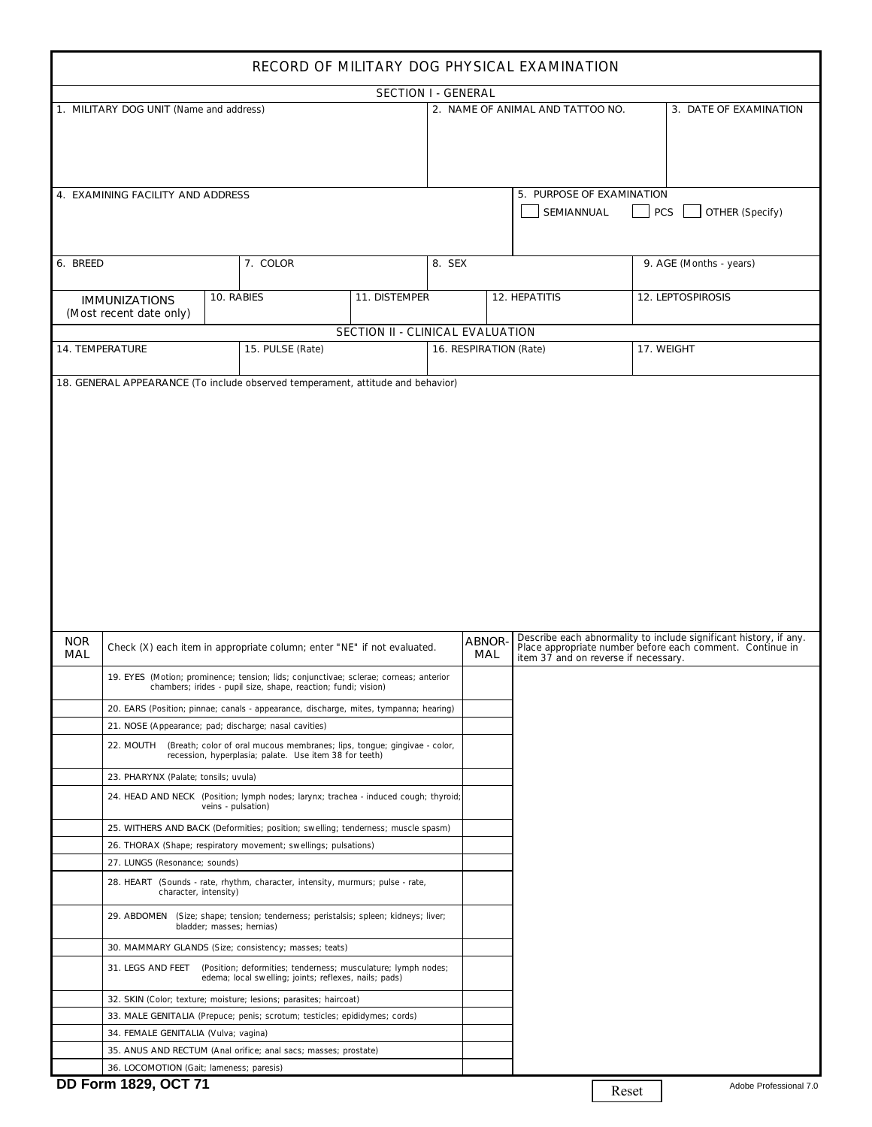| RECORD OF MILITARY DOG PHYSICAL EXAMINATION |                                                       |                    |                                                                                                                                                         |                                  |                        |                                                            |                                         |                                                                                                                                |  |  |  |  |  |
|---------------------------------------------|-------------------------------------------------------|--------------------|---------------------------------------------------------------------------------------------------------------------------------------------------------|----------------------------------|------------------------|------------------------------------------------------------|-----------------------------------------|--------------------------------------------------------------------------------------------------------------------------------|--|--|--|--|--|
|                                             |                                                       |                    |                                                                                                                                                         | <b>SECTION I - GENERAL</b>       |                        |                                                            |                                         |                                                                                                                                |  |  |  |  |  |
|                                             | 1. MILITARY DOG UNIT (Name and address)               |                    |                                                                                                                                                         |                                  |                        | 2. NAME OF ANIMAL AND TATTOO NO.<br>3. DATE OF EXAMINATION |                                         |                                                                                                                                |  |  |  |  |  |
|                                             | 4. EXAMINING FACILITY AND ADDRESS                     |                    |                                                                                                                                                         |                                  |                        |                                                            | 5. PURPOSE OF EXAMINATION<br>SEMIANNUAL | PCS<br>OTHER (Specify)                                                                                                         |  |  |  |  |  |
| 8. SEX<br>6. BREED<br>7. COLOR              |                                                       |                    |                                                                                                                                                         |                                  |                        |                                                            |                                         | 9. AGE (Months - years)                                                                                                        |  |  |  |  |  |
|                                             | <b>IMMUNIZATIONS</b><br>(Most recent date only)       | 10. RABIES         |                                                                                                                                                         | 11. DISTEMPER                    |                        |                                                            | 12. HEPATITIS                           | 12. LEPTOSPIROSIS                                                                                                              |  |  |  |  |  |
|                                             |                                                       |                    |                                                                                                                                                         | SECTION II - CLINICAL EVALUATION |                        |                                                            |                                         |                                                                                                                                |  |  |  |  |  |
|                                             | 14. TEMPERATURE                                       |                    | 15. PULSE (Rate)                                                                                                                                        |                                  | 16. RESPIRATION (Rate) |                                                            |                                         | 17. WEIGHT                                                                                                                     |  |  |  |  |  |
| <b>NOR</b>                                  |                                                       |                    |                                                                                                                                                         |                                  |                        | ABNOR-                                                     |                                         | Describe each abnormality to include significant history, if any.<br>Place appropriate number before each comment. Continue in |  |  |  |  |  |
| MAL                                         |                                                       |                    | Check (X) each item in appropriate column; enter "NE" if not evaluated.                                                                                 |                                  |                        | MAL                                                        | item 37 and on reverse if necessary.    |                                                                                                                                |  |  |  |  |  |
|                                             |                                                       |                    | 19. EYES (Motion; prominence; tension; lids; conjunctivae; sclerae; corneas; anterior<br>chambers; irides - pupil size, shape, reaction; fundi; vision) |                                  |                        |                                                            |                                         |                                                                                                                                |  |  |  |  |  |
|                                             | 21. NOSE (Appearance; pad; discharge; nasal cavities) |                    | 20. EARS (Position; pinnae; canals - appearance, discharge, mites, tympanna; hearing)                                                                   |                                  |                        |                                                            |                                         |                                                                                                                                |  |  |  |  |  |
|                                             |                                                       |                    | 22. MOUTH (Breath; color of oral mucous membranes; lips, tongue; gingivae - color,<br>recession, hyperplasia; palate. Use item 38 for teeth)            |                                  |                        |                                                            |                                         |                                                                                                                                |  |  |  |  |  |
|                                             | 23. PHARYNX (Palate; tonsils; uvula)                  |                    |                                                                                                                                                         |                                  |                        |                                                            |                                         |                                                                                                                                |  |  |  |  |  |
|                                             |                                                       | veins - pulsation) | 24. HEAD AND NECK (Position; lymph nodes; larynx; trachea - induced cough; thyroid;                                                                     |                                  |                        |                                                            |                                         |                                                                                                                                |  |  |  |  |  |
|                                             |                                                       |                    | 25. WITHERS AND BACK (Deformities; position; swelling; tenderness; muscle spasm)                                                                        |                                  |                        |                                                            |                                         |                                                                                                                                |  |  |  |  |  |
|                                             | 27. LUNGS (Resonance; sounds)                         |                    | 26. THORAX (Shape; respiratory movement; swellings; pulsations)                                                                                         |                                  |                        |                                                            |                                         |                                                                                                                                |  |  |  |  |  |
|                                             | character, intensity)                                 |                    | 28. HEART (Sounds - rate, rhythm, character, intensity, murmurs; pulse - rate,                                                                          |                                  |                        |                                                            |                                         |                                                                                                                                |  |  |  |  |  |
|                                             |                                                       |                    | 29. ABDOMEN (Size; shape; tension; tenderness; peristalsis; spleen; kidneys; liver;<br>bladder; masses; hernias)                                        |                                  |                        |                                                            |                                         |                                                                                                                                |  |  |  |  |  |
|                                             |                                                       |                    |                                                                                                                                                         |                                  |                        |                                                            |                                         |                                                                                                                                |  |  |  |  |  |
|                                             | 31. LEGS AND FEET                                     |                    | 30. MAMMARY GLANDS (Size; consistency; masses; teats)                                                                                                   |                                  |                        |                                                            |                                         |                                                                                                                                |  |  |  |  |  |
|                                             |                                                       |                    | (Position; deformities; tenderness; musculature; lymph nodes;<br>edema; local swelling; joints; reflexes, nails; pads)                                  |                                  |                        |                                                            |                                         |                                                                                                                                |  |  |  |  |  |
|                                             |                                                       |                    | 32. SKIN (Color; texture; moisture; lesions; parasites; haircoat)                                                                                       |                                  |                        |                                                            |                                         |                                                                                                                                |  |  |  |  |  |
|                                             |                                                       |                    | 33. MALE GENITALIA (Prepuce; penis; scrotum; testicles; epididymes; cords)                                                                              |                                  |                        |                                                            |                                         |                                                                                                                                |  |  |  |  |  |
|                                             | 34. FEMALE GENITALIA (Vulva; vagina)                  |                    | 35. ANUS AND RECTUM (Anal orifice; anal sacs; masses; prostate)                                                                                         |                                  |                        |                                                            |                                         |                                                                                                                                |  |  |  |  |  |